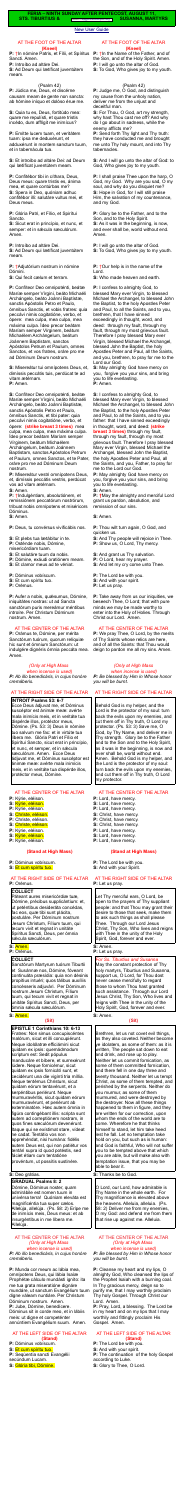#### [New User Guide](http://www.extraordinaryform.org/masses/NewUserGuide.pdf)

**FERIA – NINTH SUNDAY AFTER PENTECOST, AUGUST 11, STS. TIBURTIUS &** Errors? [help@extraordinaryform.org](mailto:help@extraordinaryform.org) **SUSANNA, MARTYRS**

#### AT THE FOOT OF THE ALTAR **(Kneel)**

**P:** †In nómine Patris, et Fílii, et Spíritus Sancti. Amen.

**P:** Introíbo ad altáre Dei.

**S:** Ad Deum qui lætíficat juventútem meam.

#### (Psalm 42)

**P:** Júdica me, Deus, et discérne causam meam de gente non sancta: ab hómine iníquo et dolóso érue me.

**S:** Quia tu es, Deus, fortitúdo mea: quare me repulísti, et quare tristis incédo, dum afflígit me inimícus?

**P:** Emítte lucem tuam, et veritátem tuam: ipsa me deduxérunt, et adduxérunt in montem sanctum tuum, et in tabernácula tua.

**S:** Et introíbo ad altáre Dei: ad Deum qui lætíficat juventútem meam.

**P:** Confitébor tibi in cíthara, Deus, Deus meus: quare tristis es, ánima mea, et quare contúrbas me? **S:** Spera in Deo, quóniam adhuc confitébor illi: salutáre vultus mei, et Deus meus.

**P:** Glória Patri, et Fílio, et Spirítui Sancto.

**S:** Sicut erat in princípio, et nunc, et semper: et in sæcula sæculórum. Amen.

**P:** Introíbo ad altáre Dei.

**S:** Ad Deum qui lætíficat juventútem meam.

**P:** †Adjutórium nostrum in nómine Dómini.

**S:** Qui fecit cælum et terram.

**P:** Confíteor Deo omnipoténti, beátæ Maríæ semper Vírgini, beáto Michaéli Archángelo, beáto Joánni Baptístæ, sanctis Apóstolis Petro et Paulo, ómnibus Sanctis, et vobis fratres: quia peccávi nimis cogitatióne, verbo, et ópere: mea culpa, mea culpa, mea máxima culpa. Ídeo precor beátam Maríam semper Vírginem, beátum Michaélem Archángelum, beátum Joánnem Baptístam, sanctos Apóstolos Petrum et Paulum, omnes Sanctos, et vos fratres, oráre pro me ad Dóminum Deum nostrum.

**P:** Aufer a nobis, quésumus, Dómine, iniquitátes nostras: ut ad Sancta sanctórum puris mereámur méntibus introíre. Per Christum Dóminum nostrum. Amen.

**S:** Misereátur tui omnípotens Deus, et, dimíssis peccátis tuis, perdúcat te ad

vitam ætérnam. **P:** Amen.

**S:** Confíteor Deo omnipoténti, beátæ Maríæ semper Vírgini, beáto Michaéli Archángelo, beáto Joánni Baptistæ, sanctis Apóstolis Petro et Paulo, ómnibus Sanctis, et tibi pater: quia peccávi nimis cogitatióne, verbo, et ópere: **(strike breast 3 times)** mea culpa, mea culpa, mea máxima culpa. Ídeo precor beátam Maríam semper Vírginem, beátum Michaélem Archángelum, beátum Joánnem Baptístam, sanctos Apóstolos Petrum et Paulum, omnes Sanctos, et te Pater, oráre pro me ad Dóminum Deum nostrum.

Páteant aures misericórdiæ tuæ, Dómine, précibus supplicántium: et, ut peténtibus desideráta concédas, fac eos, quæ tibi sunt plácita, postuláre. Per Dóminum nostrum Jesum Christum, Fílium tuum, qui tecum vivit et regnat in unitáte Spíritus Sancti, Deus, per ómnia sæcula sæculórum.

Sanctórum Martyrum tuórum Tiburtii et Susánnæ nos, Dómine, fóveant continuáta præsídia: quia non désinis propítius intuéri; quos tálibus auxíliis concésseris adjuvári. Per Dóminum nostrum Jesum Christum, Fílium tuum, qui tecum vivit et regnat in unitáte Spíritus Sancti, Deus, per ómnia sæcula sæculórum.

**P:** Misereátur vestri omnípotens Deus, et, dimíssis peccátis vestris, perdúcat vos ad vitam ætérnam.

**S:** Amen.

**P:** †Indulgéntiam, absolutiónem, et remissiónem peccatórum nostrórum, tríbuat nobis omnípotens et miséricors Dóminus.

**S:** Amen.

**P:** Deus, tu convérsus vivificábis nos.

- **S:** Et plebs tua lætábitur in te.
- **P:** Osténde nobis, Dómine,

misericórdiam tuam.

- **S:** Et salutáre tuum da nobis.
- **P:** Dómine, exáudi oratiónem meam.
- **S:** Et clamor meus ad te véniat.

**P:** Dóminus vobíscum.

- **S:** Et cum spíritu tuo.
- **P:** Orémus.

# AT THE CENTER OF THE ALTAR

**P:** Orámus te, Dómine, per mérita Sanctórum tuórum, quorum relíquiæ hic sunt et ómnium Sanctórum: ut indulgére dignéris ómnia peccáta mea. Amen.

# *(Only at High Mass*

*when incense is used) P: Ab illo benedicáris, in cujus honóre cremáberis.*

# AT THE RIGHT SIDE OF THE ALTAR

# **INTROIT Psalms 53: 6-7**

**P:**  $\dagger$ In the Name of the Father, and of the Son, and of the Holy Spirit. Amen. **P:** I will go unto the altar of God. **S:** To God, Who gives joy to my youth.

Ecce Deus ádjuvat me, et Dóminus suscéptor est ánimæ meæ: avérte mala inimícis meis, et in veritáte tua dispérde illos, protéctor meus, Dómine. (Ps. 53: 3) Deus in nómine tuo salvum me fac: et in virtúte tua líbera me. Glória Patri et Fílio et Spirítui Sancto, sicut erat in princípio, et nunc, et semper, et in sécula sæculórum. Amen. Ecce Deus ádjuvat me, et Dóminus suscéptor est ánimæ meæ: avérte mala inimícis meis, et in veritáte tua dispérde illos, protéctor meus, Dómine.

# AT THE CENTER OF THE ALTAR

- **P:** Kýrie, eléison.
- **S:** Kýrie, eléison.
- **P:** Kýrie, eléison.
- **S:** Christe, eléison.
- **P:** Christe, eléison.
- **S:** Christe, eléison. **P:** Kýrie, eléison.
- **S:** Kýrie, eléison.
- **P:** Kýrie, eléison.

# **(Stand at High Mass)**

- **P:** Dóminus vobíscum.
- **S:** Et cum spíritu tuo.

#### AT THE RIGHT SIDE OF THE ALTAR **P:** Orémus.

### **COLLECT**

# **S:** Amen.

**P:** Orémus.

# **COLLECT**

# **S:** Amen.

# **(Sit)**

**EPISTLE 1 Corinthians 10: 6-13** Fratres: Non simus concupiscéntes malórum, sicut et illi concupiérunt. Neque idolólatræ efficiámini sicut quidam ex ipsis: quemádmodum scriptum est: Sedit pópulus manducáre et bíbere, et surrexérunt lúdere. Neque fornicémur, sicut quidam ex ipsis fornicátí sunt, et cecidérunt una die vigínti tria míllia. Neque tentémus Christum, sicut quidam eórum tentavérunt, et a serpéntibus periérunt. Neque murmuravéritis, sicut quidam eórum murmuravérunt, et periérunt ab exterminatóre. Hæc autem ómnia in figúra contingébant illis: scripta sunt autem ad correptiónem nostram, in quos fines sæculórum devenérunt.

# AT THE RIGHT SIDE OF THE ALTAR **P:** Let us pray.

| gabo mioo ocoogiorum aovonorum.       |
|---------------------------------------|
| Itaque qui se exístimat stare, vídeat |
| ne cadat. Tentátio vos non            |
| apprehéndat, nisi humána: fidélis     |
| autem Deus est, qui non patiétur vos  |
| tentári supra id quod potéstis, sed   |
| fáciet étiam cum tentatióne           |
| provéntum, ut possítis sustinére.     |
|                                       |

#### **S:** Deo grátias.

**GRADUAL Psalms 8: 2** Dómine, Dóminus noster, quam admirábile est nomen tuum in univérsa terra! Quóniam eleváta est magnificéntia tua super cælos. Allelúja, allelúja. (Ps. 58: 2) Erípe me de inimícis meis, Deus meus: et ab insurgéntibus in me líbera me. Allelúja.

# AT THE CENTER OF THE ALTAR *(Only at High Mass when incense is used)*

*P: Ab illo benedicáris, in cujus honóre cremáberis.*

**P:** Munda cor meum ac lábia mea, omnípotens Deus, qui lábia Isaíæ Prophétæ cálculo mundásti igníto: ita me tua grata miseratióne dignáre mundáre, ut sanctum Evangélium tuum digne váleam nuntiáre. Per Christum Dóminum nostrum. Amen. **P:** Jube, Dómine, benedícere. Dóminus sit in corde meo, et in lábiis meis: ut digne et competénter annúntiem Evangélium suum. Amen.

#### AT THE LEFT SIDE OF THE ALTAR **(Stand)**

**P:** Dóminus vobíscum. **S:** Et cum spíritu tuo.

**P:** Seqúentia sancti Evangélii secúndum Lucam. **S:** Glória tibi, Dómine.

#### AT THE FOOT OF THE ALTAR **(Kneel)**

#### (Psalm 42)

**P:** Judge me, O God, and distinguish my cause from the unholy nation, deliver me from the unjust and deceitful man.

**S:** For Thou, O God, art my strength, why hast Thou cast me off? And why do I go about in sadness, while the enemy afflicts me?

**P:** Send forth Thy light and Thy truth: they have conducted me and brought me unto Thy holy mount, and into Thy tabernacles.

**S:** And I will go unto the altar of God: to God, Who gives joy to my youth.

**P:** I shall praise Thee upon the harp, O God, my God. Why are you sad, O my soul, and why do you disquiet me? **S:** Hope in God, for I will still praise Him, the salvation of my countenance, and my God.

**P:** Glory be to the Father, and to the Son, and to the Holy Spirit. **S:** As it was in the beginning, is now, and ever shall be, world without end. Amen.

**P:** I will go unto the altar of God. **S:** To God, Who gives joy to my youth.

**P:** †Our help is in the name of the Lord.

**S:** Who made heaven and earth.

**P:** I confess to almighty God, to blessed Mary ever Virgin, to blessed Michael the Archangel, to blessed John the Baptist, to the holy Apostles Peter and Paul, to all the Saints, and to you, brethren, that I have sinned exceedingly in thought, word, and deed: through my fault, through my fault, through my most grievous fault. Therefore I pray blessed Mary ever Virgin, blessed Michael the Archangel, blessed John the Baptist, the holy Apostles Peter and Paul, all the Saints, and you, brethren, to pray for me to the Lord our God.

**S:** May almighty God have mercy on you, forgive you your sins, and bring you to life everlasting. **P:** Amen.

**S:** I confess to almighty God, to blessed Mary ever Virgin, to blessed Michael the Archangel, to blessed John the Baptist, to the holy Apostles Peter and Paul, to all the Saints, and to you father: that I have sinned exceedingly in thought, word, and deed: **(strike breast 3 times)** through my fault, through my fault, through my most grievous fault. Therefore I pray blessed Mary ever Virgin, blessed Michael the Archangel, blessed John the Baptist, the holy Apostles Peter and Paul, all the Saints, and you, Father, to pray for me to the Lord our God.

**P:** May almighty God have mercy on you, forgive you your sins, and bring you to life everlasting. **S:** Amen.

**P: †**May the almighty and merciful Lord grant us pardon, absolution, and remission of our sins.

- **S:** Amen.
- **P:** Thou wilt turn again, O God, and quicken us.
- **S:** And Thy people will rejoice in Thee.
- **P:** Show us, O Lord, Thy mercy.
- **S:** And grant us Thy salvation.
- **P:** O Lord, hear my prayer.
- **S:** And let my cry come unto Thee.
- **P:** The Lord be with you.
- **S:** And with your spirit.
- **P:** Let us pray.

**P:** Take away from us our iniquities, we beseech Thee, O Lord; that with pure minds we may be made worthy to enter into the Holy of Holies. Through Christ our Lord. Amen.

# AT THE CENTER OF THE ALTAR

**P:** We pray Thee, O Lord, by the merits of Thy Saints whose relics are here, and of all the Saints: that Thou would deign to pardon me all my sins. Amen.

# *(Only at High Mass*

 *when incense is used)*

*P: Be blessed by Him in Whose honor you will be burnt.*

# AT THE RIGHT SIDE OF THE ALTAR

Behold God is my helper, and the Lord is the protector of my soul: turn back the evils upon my enemies, and cut them off in Thy truth, O Lord my protector. (Ps. 53: 3) Save me, O God, by Thy Name, and deliver me in Thy strength. Glory be to the Father and to the Son and to the Holy Spirit, as it was in the beginning, is now and ever shall be, world without end. Amen. Behold God is my helper, and the Lord is the protector of my soul: turn back the evils upon my enemies, and cut them off in Thy truth, O Lord my protector.

# AT THE CENTER OF THE ALTAR

- **P:** Lord, have mercy. **S:** Lord, have mercy. **P:** Lord, have mercy. **S:** Christ, have mercy. **P:** Christ, have mercy. **S:** Christ, have mercy. **P:** Lord, have mercy.
- **S:** Lord, have mercy.
- **P:** Lord, have mercy.

# **(Stand at High Mass)**

**P:** The Lord be with you. **S:** And with your Spirit.

Let Thy merciful ears, O Lord, be open to the prayers of Thy suppliant people: and that Thou may grant their desire to those that seek, make them to ask such things as shall please Thee. Through our Lord Jesus Christ, Thy Son, Who lives and reigns with Thee in the unity of the Holy Spirit, God, forever and ever.

#### **S: Amen. P:** Let us pray.

*For Ss. Tiburtius and Susanna* May the constant protection of Thy holy martyrs, Tiburtius and Susanna, support us, O Lord, for Thou dost never cease mercifully to regard those to whom Thou hast granted such assistance. Through our Lord Jesus Christ, Thy Son, Who lives and reigns with Thee in the unity of the Holy Spirit, God, forever and ever.

**S:** Amen.

**(Sit)**

Brethren, let us not covet evil things, as they also coveted. Neither become ye idolaters, as some of them: as it is written, The people sat down to eat and drink, and rose up to play. Neither let us commit fornication, as some of them committed fornication, and there fell in one day three and twenty thousand. Neither let us tempt Christ, as some of them tempted, and perished by the serpents. Neither do you murmur, as some of them murmured, and were destroyed by the destroyer. Now all these things happened to them in figure, and they are written for our correction, upon whom the ends of the world are to come. Wherefore he that thinks himself to stand, let him take heed lest he fall. Let no temptation take hold on you, but such as is human: and God is faithful, Who will not suffer you to be tempted above that which you are able, but will make also with temptation issue, that you may be able to bear it.

**S:** Thanks be to God.

O Lord, our Lord, how admirable is Thy Name in the whole earth. For Thy magnificence is elevated above the heavens. Alleluia, alleluia. (Ps. 58: 2) Deliver me from my enemies, O my God: and defend me from them that rise up against me. Alleluia.

#### AT THE CENTER OF THE ALTAR *(Only at High Mass when incense is used)*

*P: Be blessed by Him in Whose honor you will be burnt.*

**P:** Cleanse my heart and my lips, O almighty God, Who cleansed the lips of the Prophet Isaiah with a burning coal. In Thy gracious mercy, deign so to purify me, that I may worthily proclaim Thy holy Gospel. Through Christ our Lord. Amen.

**P:** Pray, Lord, a blessing. The Lord be in my heart and on my lips that I may worthily and fittingly proclaim His Gospel. Amen.

### AT THE LEFT SIDE OF THE ALTAR **(Stand)**

**P:** The Lord be with you.

**S:** And with your spirit.

**P:** The continuation of the holy Gospel according to Luke.

**S:** Glory to Thee, O Lord.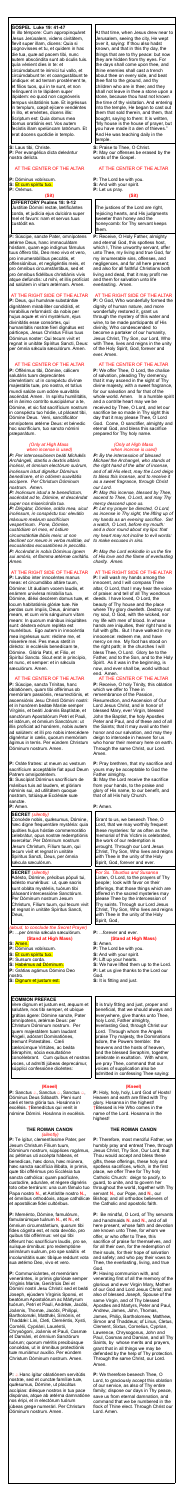### **GOSPEL Luke 19: 41-47**

In illo témpore: Cum appropinquáret Jesus Jerúsalem, videns civitátem, flevit super illam, dicens: Quia si cognovísses et tu, et quidem in hac die tua, quæ ad pacem tibi, nunc autem abscóndita sunt ab óculis tuis. quía vénient dies in te: et circúmdabunt te inimíci tui vallo, et circúmdabunt te: et coangustábunt te úndique: et ad terram prostérnent te, et fílios tuos, qui in te sunt, et non relínquent in te lápidem super lápidem: eo quod non cognóveris tempus visitatiónis tuæ. Et ingréssus in templum, cœpit ejícere vendéntes in illo, et eméntes, dicens illis: Scriptum est: Quia domus mea domus oratiónis est. Vos autem fecístis illam spelúncam Iatrónum. Et erat docens quotídie in templo.

**S:** Laus tibi, Christe. **P:** Per evangélica dicta deleántur nostra delícta.

# AT THE CENTER OF THE ALTAR

**P:** Dóminus vobíscum.

**S:** Et cum spíritu tuo.

**P:** Orémus.

#### **(Sit)**

**OFFERTORY Psalms 18: 9-12** Justítiæ Dómini rectæ, lætificántes corda, et judícia ejus dulcióra super mel et favum: nam et servus tuus custódit ea.

**P:** Súscipe, sancte Pater, omnípotens ætérne Deus, hanc immaculátam hóstiam, quam ego indígnus fámulus tuus óffero tibi, Deo meo vivo et vero, pro innumerabílibus peccátis, et offensiónibus, et negligéntiis meis, et pro ómnibus circumstántibus, sed et pro ómnibus fidélibus christiánis vivis atque defúnctis: ut mihi, et illis profíciat ad salútem in vitam ætérnam. Amen.

#### AT THE RIGHT SIDE OF THE ALTAR

**P:** Deus, qui humánæ substántiæ dignitátem mirabíliter condidísti, et mirabílius reformásti: da nobis per hujus aquæ et vini mystérium, ejus divinitátis esse consórtes, qui humanitátis nostræ fíeri dignátus est párticeps, Jesus Christus Fílius tuus Dóminus noster: Qui tecum vivit et regnat in unitáte Spíritus Sancti, Deus: per ómnia sǽcula sæculórum. Amen.

AT THE CENTER OF THE ALTAR

**P:** Offérimus tibi, Dómine, cálicem salutáris tuam deprecántes cleméntiam: ut in conspéctu divínæ majestátis tuæ, pro nostra, et totíus mundi salúte cum odóre suavitátis ascéndat. Amen. In spíritu humilitátis, et in ánimo contríto suscipiámur a te, Dómine, et sic fiat sacrifícium nostrum in conspéctu tuo hódie, ut pláceat tibi, Dómine Deus. Veni, sanctificátor omnípotens ætérne Deus: et bénedic hoc sacrifícium, tuo sancto nómini præparátum.

#### *(Only at High Mass when incense is used)*

*P: Per intercessiónem beáti Michǽlis Archángeli, stantis a dextris altáris incénsi, et ómnium electórum suórum, incénsum istud dignétur Dóminus benedícere, et in odórem suavitátis accípere. Per Christum Dóminum nostrum. Amen.*

*P: Incénsum istud a te benedíctum, ascéndat ad te, Dómine, et descéndat super nos misericórdia tua. P: Dirigátur, Dómine, orátio mea, sicut incénsum, in conspéctu tuo: elev*á*tio m*á*nuum me*á*rum sacrifícium vespertínum. Pone, Dómine, custódiam ori meo, et óstium circumstántiæ l*á*biis meis: ut non declínet cor meum in verba malítiæ, ad excusándas excusatiónes in peccátis. P: Accéndat in nobis Dóminus ignem sui amóris, et flamma ætérnæ caritátis. Amen.*

**P:** Sanctus *a*, Sanctus *a*, Sanctus *a*, Dóminus Deus Sábaoth. Pleni sunt cæli et terra glória tua. Hosánna in excélsis. †Benedíctus qui venit in nómine Dómini. Hosánna in excélsis.

#### AT THE RIGHT SIDE OF THE ALTAR

**P:** Lavábo inter innocéntes manus meas: et circumdábo altáre tuum, Dómine: Ut áudiam vocem laudis, et enárrem univérsa mirabília tua. Dómine, diléxi decórem domus tuæ, et locum habitatiónis glóriæ tuæ. Ne perdas cum ímpiis, Deus, ánimam meam, et cum viris sánguinum vitam meam: In quorum mánibus iniquitátes sunt: déxtera eórum repléta est munéribus. Ego autem in innocéntia mea ingréssus sum: rédime me, et miserére mei. Pes meus stetit in dirécto: in ecclésiis benedícam te, Dómine. Glória Patri, et Filio, et Spirítui Sancto. Sicut erat in princípio, et nunc, et semper: et in sécula sæculórum. Amen.

# AT THE CENTER OF THE ALTAR

**P:**  $\triangle$  Hanc ígitur oblatiónem servitútis nostræ, sed et cunctæ famíliæ tuæ, quǽsumus, Dómine, ut placátus accípias: diésque nostros in tua pace dispónas, atque ab ætérna damnatióne nos éripi, et in electórum tuórum júbeas grege numerári. Per Christum Dóminum nostrum. Amen.

**P:** Súscipe, sancta Trínitas, hanc oblatiónem, quam tibi offérimus ob memóriam passiónis, resurrectiónis, et ascensiónis Jesu Christi Dómini nostri: et in honórem beátæ Maríæ semper Vírginis, et beáti Joánnis Baptístæ, et sanctórum Apostolórum Petri et Pauli, et istórum, et ómnium Sanctórum: ut illis profíciat ad honórem, nobis autem ad salútem: et illi pro nobis intercédere dignéntur in cælis, quorum memóriam ágimus in terris. Per eúndem Christum Dóminum nostrum. Amen.

**P:** Receive, O Holy Father, almighty and eternal God, this spotless host, which I, Thine unworthy servant, offer unto Thee, my living and true God, for my innumerable sins, offenses, and negligences, and for all here present; and also for all faithful Christians both living and dead, that it may profit me and them for salvation unto life everlasting. Amen.

concélebrant. Cum quibus et nostras voces, ut admítti júbeas deprecámur, súpplici confessióne dicéntes:

# **(Kneel)**

#### **THE ROMAN CANON** *(silently)*

**P:** Te ígitur, clementíssime Pater, per Jesum Christum Fílium tuum, Dóminum nostrum, súpplices rogámus, ac pétimus uti accépta hábeas, et benedícas, hæc dona, hæc múnera, hæc sancta sacrifícia illibáta, in primis, quæ tibi offérimus pro Ecclésia tua sancta cathólica: quam pacificáre, custodíre, adunáre, et régere dignéris toto orbe terrárum: una cum fámulo tuo Papa nostro **N.**, et Antístite nostro **N.,** et ómnibus orthodóxis, atque cathólicæ et apostólicæ fidei cultóribus.

**P:** Meménto, Dómine, famulórum, famularúmque tuárum **N.**, et **N.**, et ómnium circumstántium, quorum tibi fides cógnita est, et nota devótio, pro quibus tibi offérimus: vel qui tibi ófferunt hoc sacrifícium laudis, pro se, suísque ómnibus: pro redemptióne animárum suárum, pro spe salútis et incolumitátis suæ: tibíque reddunt vota sua ætérno Deo, vivo et vero.

**P:** Communicántes, et memóriam venerántes, in primis gloriósæ semper Vírginis Maríæ, Genitrícis Dei et Dómini nostri Jesu Christi: sed et beáti Joseph, ejúsdem Vírginis Sponsi, et beatórum Apostolórum ac Mártyrum tuórum, Petri et Pauli, Andréæ, Jacóbi, Joánnis, Thomæ, Jacóbi, Philíppi, Bartholomǽi, Matthǽi, Simónis, et Thaddǽi: Lini, Cleti, Cleméntis, Xysti, Cornélii, Cypriáni, Lauréntii, Chrysógoni, Joánnis et Pauli, Cosmæ et Damiáni, et ómnium Sanctórum tuórum; quorum méritis precibúsque concédas, ut in ómnibus protectiónis tuæ muniámur auxílio. Per eúndem Christum Dóminum nostrum. Amen.

At that time, when Jesus drew near to Jerusalem, seeing the city, He wept over it, saying: If thou also hadst known, and that in this thy day, the things that are to thy peace: but now they are hidden from thy eyes. For the days shall come upon thee, and thine enemies shall cast a trench about thee on every side, and beat thee flat to the ground, and thy children who are in thee; and they shall not leave in thee a stone upon a stone, because thou hast not known the time of thy visitation. And entering into the temple, He began to cast out them that sold therein, and them, that bought, saying to them: It is written, "My house is the house of prayer, but you have made it a den of thieves." And He was teaching daily in the temple.

**S:** Praise to Thee, O Christ. **P:** May our offenses be erased by the words of the Gospel.

### AT THE CENTER OF THE ALTAR

**P:** The Lord be with you. **S:** And with your spirit. **P:** Let us pray.

#### **(Sit)**

The justices of the Lord are right, rejoicing hearts, and His judgments sweeter than honey and the honeycomb: for Thy servant keeps them.

|                                                                                                                                                                                                                                                                                                                                                                                                                   | Amen.                                                                                                                                                                                                                                                                                                                                                                                                                    |
|-------------------------------------------------------------------------------------------------------------------------------------------------------------------------------------------------------------------------------------------------------------------------------------------------------------------------------------------------------------------------------------------------------------------|--------------------------------------------------------------------------------------------------------------------------------------------------------------------------------------------------------------------------------------------------------------------------------------------------------------------------------------------------------------------------------------------------------------------------|
| <b>P</b> : Oráte fratres: ut meum ac vestrum<br>sacrifícium acceptábile fiat apud Deum<br>Patrem omnipoténtem.<br>S: Suscípiat Dóminus sacrifícium de<br>mánibus tuis ad laudem, et glóriam<br>nóminis sui, ad utilitátem quoque<br>nostram, totiúsque Ecclésiæ suæ<br>sanctæ.<br>P: Amen.                                                                                                                        | P: Pray brethren, that my sacrifice and<br>yours may be acceptable to God the<br>Father almighty.<br>S: May the Lord receive the sacrifice<br>from your hands, to the praise and<br>glory of His name, to our benefit, and<br>that of all His holy Church.<br>P: Amen.                                                                                                                                                   |
| <b>SECRET</b> (silently)                                                                                                                                                                                                                                                                                                                                                                                          |                                                                                                                                                                                                                                                                                                                                                                                                                          |
| Concéde nobis, quésumus, Dómine,<br>hæc digne frequentáre mystéria: quia<br>quóties hujus hóstiæ commemorátio<br>celebrátur, opus nostræ redemptiónis<br>exercétur. Per Dóminum nostrum<br>Jesum Christum, Fílium tuum, qui<br>tecum vivit et regnat in unitate<br>Spíritus Sancti, Deus, per ómnia<br>sæcula sæculórum.                                                                                          | Grant to us, we beseech Thee, O<br>Lord, that we may worthily frequent<br>these mysteries: for as often as the<br>memorial of this Victim is celebrated,<br>the work of our redemption is<br>wrought. Through our Lord Jesus<br>Christ, Thy Son, Who lives and reigns<br>with Thee in the unity of the Holy<br>Spirit, God, forever and ever.                                                                            |
| <b>SECRET</b> (silently)<br>Adésto, Dómine, précibus pópuli tui,<br>adésto munéribus: ut, quæ sacris<br>sunt obláta mystériis, tuórum tibi<br>pláceant intercessióne Sanctórum.<br>Per Dóminum nostrum Jesum<br>Christum, Fílium tuum, qui tecum vivit<br>et regnat in unitáte Spíritus Sancti,<br>Deus,                                                                                                          | For Ss. Tiburtius and Susanna<br>Listen, O Lord, to the prayers of Thy<br>people; look with favor on their<br>offerings, that those things which are<br>offered in the sacred mysteries may<br>please Thee by the intercession of<br>Thy saints. Through our Lord Jesus<br>Christ, Thy Son, Who lives and reigns<br>with Thee in the unity of the Holy<br>Spirit, God,                                                   |
| (aloud, to conclude the Secret Prayer)<br>P:  per ómnia sæcula sæculórum.<br><b>(Stand at High Mass)</b><br>S: Amen.<br>P: Dóminus vobíscum.<br>S: Et cum spíritu tuo.<br><b>P:</b> Sursum corda.<br>S: Habémus ad Dóminum.<br>P: Grátias agámus Dómino Deo<br>nostro.<br>S: Dignum et justum est.                                                                                                                | <b>P:</b> forever and ever.<br><b>(Stand at High Mass)</b><br>S: Amen.<br><b>P:</b> The Lord be with you.<br>S: And with your spirit.<br><b>P:</b> Lift up your hearts.<br>S: We have lifted them up to the Lord.<br>P: Let us give thanks to the Lord our<br>God.<br><b>S:</b> It is fitting and just.                                                                                                                  |
|                                                                                                                                                                                                                                                                                                                                                                                                                   |                                                                                                                                                                                                                                                                                                                                                                                                                          |
| <b>COMMON PREFACE</b><br>Vere dignum et justum est, æquum et<br>salutáre, nos tibi semper, et ubíque<br>grátias ágere: Dómine sancte, Pater<br>omnípotens, ætérnæ Deus: per<br>Christum Dóminum nostrum. Per<br>quem majestátem tuam laudant<br>Ángeli, adórant Dominatiónes,<br>tremunt Potestátes. Cæli<br>cælorúmque Virtútes, ac beáta<br>Séraphim, sócia exsultatióne<br>concélebrant. Cum quibus et nostras | It is truly fitting and just, proper and<br>beneficial, that we should always and<br>everywhere, give thanks unto Thee,<br>holy Lord, Father almighty,<br>everlasting God, through Christ our<br>Lord. Through whom the Angels<br>praise Thy majesty, the Dominations<br>adore, the Powers tremble: the<br>heavens and the hosts of heaven,<br>and the blessed Seraphim, together<br>celebrate in exultation. With whom, |

# AT THE RIGHT SIDE OF THE ALTAR

**P:** O God, Who wonderfully formed the dignity of human nature, and more wonderfully restored it, grant us through the mystery of this water and wine, to be made participants of His divinity, Who condescended to become a partaker of our humanity, Jesus Christ, Thy Son, our Lord, Who with Thee, lives and reigns in the unity of the Holy Spirit, God, forever and ever. Amen.

#### AT THE CENTER OF THE ALTAR

**P:** We offer Thee, O Lord, the chalice of salvation, pleading Thy clemency, that it may ascend in the sight of Thy divine majesty, with a sweet fragrance, for our salvation and for that of the whole world. Amen. In a humble spirit and a contrite heart may we be received by Thee, O Lord, and let our sacrifice be so made in Thy sight this day that it may please Thee, O Lord God. Come, O sanctifier, almighty and eternal God, and bless this sacrifice prepared for Thy holy name.

#### *(Only at High Mass when incense is used)*

*P: By the intercession of blessed Michael the Archangel, who stands at the right hand of the altar of incense, and of all His elect, may the Lord deign to bless this incense, and to receive it as a sweet fragrance, through Christ our Lord.*

*P: May this incense, blessed by Thee, ascend to Thee, O Lord, and may Thy mercy descend upon us.*

*P: Let my prayer be directed, O Lord, as incense in Thy sight, the lifting up of my hands as an evening sacrifice. Set a watch, O Lord, before my mouth: and a door round about my lips: that my heart may not incline to evil words: to make excuses in sins.*

*P: May the Lord enkindle in us the fire of His love and the flame of everlasting charity. Amen.*

# AT THE RIGHT SIDE OF THE ALTAR

**P:** I will wash my hands among the innocent, and I will compass Thine altar, O Lord, that I may hear the voice of praise: and tell of all Thy wondrous deeds. I have loved, O Lord, the beauty of Thy house and the place where Thy glory dwelleth. Destroy not my soul, O God, with the wicked, nor my life with men of blood. In whose hands are iniquities, their right hand is full with gifts. But I have walked in my innocence: redeem me, and have mercy on me. My foot has stood on the right path; in the churches I will bless Thee, O Lord. Glory be to the Father, and to the Son, and to the Holy Spirit. As it was in the beginning, is now, and ever shall be, world without end. Amen.

AT THE CENTER OF THE ALTAR **P:** Receive, O holy Trinity, this oblation which we offer to Thee in remembrance of the Passion, Resurrection, and Ascension of Our Lord Jesus Christ, and in honor of blessed Mary, ever Virgin, blessed John the Baptist, the holy Apostles Peter and Paul, and of these and of all the Saints; that it may avail unto their honor and our salvation, and may they deign to intercede in heaven for us who honor their memory here on earth. Through the same Christ, our Lord.

we pray Thee, command that our

voices of supplication also be

admitted in confessing Thee saying:

#### **(Kneel)**

**P:** Holy, holy, holy, Lord God of Hosts! Heaven and earth are filled with Thy glory. Hosanna in the highest! †Blessed is He Who comes in the name of the Lord. Hosanna in the highest!

# **THE ROMAN CANON**

**P:** Therefore, most merciful Father, we humbly pray and entreat Thee, through Jesus Christ, Thy Son, Our Lord, that Thou would accept and bless these gifts, these offerings, these holy and spotless sacrifices, which, in the first place, we offer Thee for Thy holy Catholic Church: deign to pacify, to guard, to unite, and to govern her throughout the world, together with Thy servant **N.**, our Pope, and **N.**, our Bishop; and all orthodox believers of the Catholic and apostolic faith.

**P:** Be mindful, O Lord, of Thy servants and handmaids **N.** and **N.**, and of all here present, whose faith and devotion are known unto Thee, for whom we offer, or who offer to Thee, this sacrifice of praise for themselves, and for all their own, for the redemption of their souls, for their hope of salvation and safety; and who pay their vows to Thee, the everlasting, living, and true God.

**P:** Having communion with, and venerating first of all the memory of the glorious and ever Virgin Mary, Mother of our God and Lord Jesus Christ; and also of blessed Joseph, Spouse of the same Virgin, and of Thy blessed Apostles and Martyrs, Peter and Paul, Andrew, James, John, Thomas, James, Philip, Bartholomew, Matthew, Simon and Thaddeus; of Linus, Cletus, Clement, Sixtus, Cornelius, Cyprian, Lawrence, Chrysogonus, John and Paul, Cosmas and Damian, and all Thy Saints, by whose merits and prayers, grant that in all things we may be defended by the help of Thy protection. Through the same Christ, our Lord. Amen.

**P:** We therefore beseech Thee, O Lord, to graciously accept this oblation of our service, as also of Thy entire family; dispose our days in Thy peace, save us from eternal damnation, and command that we be numbered in the flock of Thine elect. Through Christ our Lord. Amen.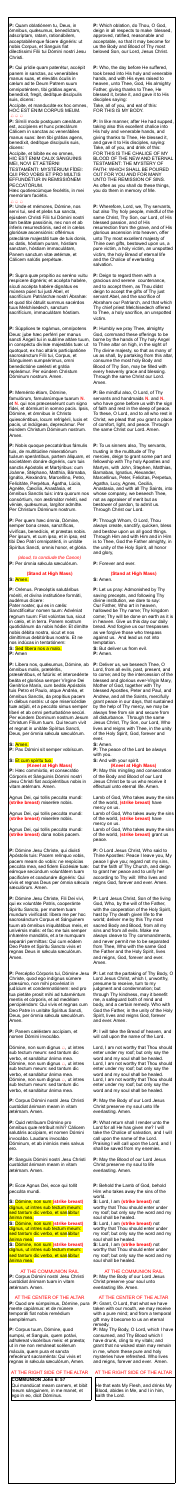**P:** Quam oblatiónem tu, Deus, in ómnibus, quǽsumus, benedíctam, adscríptam, ratam, rationábilem, acceptabilémque fácere dignéris: ut nobis Corpus, et Sanguis fiat dilectíssimi Fílii tui Dómini nostri Jesu Christi.

Accípite, et manducáte ex hoc omnes, HOC EST ENIM CORPUS MEUM.  $\bigoplus \bigoplus \bigoplus$ 

**P:** Qui prídie quam paterétur, accépit panem in sanctas, ac venerábiles manus suas, et elevátis óculis in cælum ad te Deum Patrem suum omnipoténtem, tibi grátias agens, benedíxit, fregit, dedítque discípulis suis, dicens:

**P:** Símili modo postquam cænátum est, accípiens et hunc præclárum Cálicem in sanctas ac venerábiles manus suas: item tibi grátias agens, benedíxit, dedítque discípulis suis, dicens:

Accípite, et bíbite ex eo omnes, HIC EST ENIM CALIX SÁNGUINIS MEI, NOVI ET AETÉRNI

TESTAMÉNTI: MYSTÉRIUM FÍDEI: QUI PRO VOBIS ET PRO MULTIS EFFUNDÉTUR IN REMISSIÓNEM PECCATÓRUM.

Hæc quotiescúmque fecéritis, in mei memóriam faciétis.

#### $A A A$

**P:** Unde et mémores, Dómine, nos servi tui, sed et plebs tua sancta, ejúsdem Christi Fílii tui Dómini nostri tam beátæ passiónis, nec non et ab ínferis resurrectiónis, sed et in cælos gloriósæ ascensiónis: offérimus præcláræ majestáti tuæ de tuis donis, ac datis, hóstiam puram, hóstiam sanctam, hóstiam immaculátam, Panem sanctum vitæ ætérnæ, et Cálicem salútis perpétuæ.

**P:** Supra quæ propítio ac seréno vultu respícere dignéris; et accépta habére, sícuti accépta habére dignátus es múnera púeri tui justi Abel, et sacrifícium Patriárchæ nostri Ábrahæ: et quod tibi óbtulit summus sacérdos tuus Melchísedech, sanctum sacrifícium, immaculátam hóstiam.

*(aloud, to conclude the Canon)* **P:** Per ómnia sæcula sæculórum.

**P:** Líbera nos, quésumus, Dómine, ab ómnibus malis, prætéritis,

præséntibus, et futúris: et intercedénte beáta et gloriósa semper Vírgine Dei Genitríce María, cum beátis Apóstolis tuis Petro et Paulo, atque Andréa, et ómnibus Sanctis, da propítius pacem in diébus nostris: ut ope misericórdiæ tuæ adjúti, et a peccáto simus semper líberi et ab omni perturbatióne secúri. Per eúndem Dominum nostrum Jesum Christum Fílium tuum. Qui tecum vivit et regnat in unitáte Spíritus Sancti, Deus, per ómnia sæcula sæculórum.

**P:** Súpplices te rogámus, omnípotens Deus: jube hæc perférri per manus sancti Ángeli tui in sublíme altáre tuum, in conspéctu divínæ majestátis tuæ: ut quotquot, ex hac altáris participatióne sacrosánctum Fílii tui, Corpus, et Sánguinem sumpsérimus, omni benedictióne cælésti et grátia repleámur. Per eúndem Christum Dóminum nostrum. Amen.

#### **P:** Meménto étiam, Dómine,

famulórum, famularúmque tuarum **N.** et **N.** qui nos præcessérunt cum signo fídei, et dórmiunt in somno pacis. Ipsis, Dómine, et ómnibus in Christo quiescéntibus, locum refrigérii, lucis et pacis, ut indúlgeas, deprecámur. Per eúndem Christum Dóminum nostrum. Amen.

**P:** Nobis quoque peccatóribus fámulis tuis, de multitúdine miseratiónum tuárum sperántibus, partem áliquam, et societátem donáre dignéris, cum tuis sanctis Apóstolis et Martýribus: cum Joánne, Stéphano, Matthía, Bárnaba, Ignátio, Alexándro, Marcellíno, Petro, Felicitáte, Perpétua, Ágatha, Lúcia, Agnéte, Cæcília, Anastásia, et ómnibus Sanctis tuis: intra quorum nos consórtium, non æstimátor mériti, sed véniæ, quæsumus, largítor admítte. Per Christum Dóminum nostrum.

**P:** Per quem hæc ómnia, Dómine, semper bona creas, sanctíficas, vivíficas, benedícis, et præstas nobis. Per ipsum, et cum ipso, et in ipso, est tibi Deo Patri omnipoténti, in unitáte Spíritus Sancti, omnis honor, et glória.

Dómine, non sum dignus  $\triangle$ , ut intres sub tectum meum: sed tantum dic verbo, et sanábitur ánima mea. Dómine, non sum dignus  $\triangle$ , ut intres sub tectum meum: sed tantum dic verbo, et sanábitur ánima mea. Dómine, non sum dignus  $\triangle$ , ut intres sub tectum meum: sed tantum dic verbo, et sanábitur ánima mea.

# **(Stand at High Mass)**

**S:** Amen.

**P:** Orémus. Præcéptis salutáribus móniti, et divína institutióne formáti, audémus dícere:

Pater noster, qui es in cælis: Sanctificétur nomen tuum: Advéniat regnum tuum: Fiat volúntas tua, sicut in cælo, et in terra. Panem nostrum quotidiánum da nobis hódie: Et dimítte nobis débita nostra, sicut et nos dimíttimus debitóribus nostris. Et ne nos indúcas in tentatiónem: **S:** Sed líbera nos a malo.

**P:** Amen

#### **S:** Amen.

**P:** Pax Dómini sit semper vobíscum.

# **S:** Et cum spíritu tuo. **(Kneel at High Mass)**

**P:** Hæc commíxtio, et consecrátio Córporis et Sánguinis Dómini nostri Jesu Christi fiat accipiéntibus nobis in vitam ætérnam. Amen.

Agnus Dei, qui tollis peccáta mundi: **(strike breast)** miserére nobis.

Agnus Dei, qui tollis peccáta mundi: **(strike breast)** miserére nobis.

Agnus Dei, qui tollis peccáta mundi: **(strike breast)** dona nobis pacem.

**P:** Dómine Jesu Christe, qui dixísti Apóstolis tuis: Pacem relínquo vobis, pacem meam do vobis: ne respícias peccáta mea, sed fidem Ecclésiæ tuæ: eámque secúndum voluntátem tuam pacificáre et coadunáre dignéris: Qui vivis et regnas Deus per ómnia sæcula sæculórum. Amen.

**P:** Dómine Jesu Christe, Fili Dei vivi, qui ex voluntáte Patris, cooperánte Spíritu Sancto, per mortem tuam mundum vivificásti: líbera me per hoc sacrosánctum Corpus et Sánguinem tuum ab ómnibus iniquitátibus meis, et univérsis malis: et fac me tuis semper inhærére mandátis, et a te numquam separári permíttas: Qui cum eódem Deo Patre et Spiritu Sancto vivis et regnas Deus in sǽcula sæculórum. Amen.

**P:** Percéptio Córporis tui, Dómine Jesu Christe, quod ego indígnus súmere præsúmo, non mihi provéniat in judícium et condemnatiónem: sed pro tua pietáte prosit mihi ad tutaméntum mentis et córporis, et ad medélam percipiéndam: Qui vivis et regnas cum Deo Patre in unitáte Spíritus Sancti, Deus, per ómnia sæcula sæculórum. Amen.

**P:** Panem cæléstem accípiam, et nomen Dómini invocábo.

**P:** Corpus Dómini nostri Jesu Christi custódiat ánimam meam in vitam ætérnam. Amen.

**P:** Quid retríbuam Dómino pro ómnibus quæ retríbuit mihi? Cálicem salutáris accípiam, et nomen Dómini invocábo. Laudans invocábo Dóminum, et ab inimícis meis salvus ero.

**P:** Sanguis Dómini nostri Jesu Christi custódiat ánimam meam in vitam ætérnam. Amen.

**P:** Ecce Agnus Dei, ecce qui tollit peccáta mundi.

**S:** Dómine, non sum **(strike breast)** dignus, ut intres sub tectum meum: sed tantum dic verbo, et sanábitur ánima mea.

**S:** Dómine, non sum **(strike breast)**  dignus, ut intres sub tectum meum: sed tantum dic verbo, et sanábitur ánima mea.

**S:** Dómine, non sum **(strike breast)**  dignus, ut intres sub tectum meum: sed tantum dic verbo, et sanábitur ánima mea.

#### AT THE COMMUNION RAIL

**P:** Corpus Dómini nostri Jesu Christi custódiat ánimam tuam in vitam ætérnam. Amen.

# AT THE CENTER OF THE ALTAR

**P:** Quod ore súmpsimus, Dómine, pura mente capiámus: et de múnere temporáli fiat nobis remédium sempitérnum.

**P:** Corpus tuum, Dómine, quod sumpsi, et Sanguis, quem potávi, adhæreat viscéribus meis: et præsta; ut in me non remáneat scélerum mácula, quem pura et sancta refecérunt sacraménta: Qui vivis et regnas in sǽcula sæculórum, Amen.

# AT THE RIGHT SIDE OF THE ALTAR

#### **COMMUNION John 6: 57**

Qui mandúcat meam carnem, et bibit meum sánguinem, in me manet, et ego in eo, dicit Dóminus.

**P:** Which oblation, do Thou, O God, deign in all respects to make blessed, approved, ratified, reasonable and acceptable, so that it may become for us the Body and Blood of Thy most beloved Son, our Lord, Jesus Christ.

**P:** Who, the day before He suffered, took bread into His holy and venerable hands, and with His eyes raised to heaven, unto Thee, God, His almighty Father, giving thanks to Thee, He blessed it, broke it, and gave it to His disciples saying: Take, all of you, and eat of this:

FOR THIS IS MY BODY.

**P:** In like manner, after He had supped, taking also this excellent chalice into His holy and venerable hands, and giving thanks to Thee, He blessed it, and gave it to His disciples, saying: Take, all of you, and drink of this: FOR THIS IS THE CHALICE OF MY BLOOD OF THE NEW AND ETERNAL TESTAMENT: THE MYSTERY OF FAITH: WHICH SHALL BE POURED OUT FOR YOU AND FOR MANY UNTO THE REMISSION OF SINS. As often as you shall do these things, you do them in memory of Me.

**P:** Wherefore, Lord, we, Thy servants, but also Thy holy people, mindful of the same Christ, Thy Son, our Lord, of His blessed passion, and of His resurrection from the grave, and of His glorious ascension into heaven, offer unto Thy most excellent majesty of Thine own gifts, bestowed upon us, a pure victim, a holy victim, an unspotted victim, the holy Bread of eternal life and the Chalice of everlasting salvation.

**P:** Deign to regard them with a gracious and serene countenance, and to accept them, as Thou didst deign to accept the gifts of Thy just servant Abel, and the sacrifice of Abraham our Patriarch, and that which Thy chief priest Melchisedech offered to Thee, a holy sacrifice, an unspotted victim.

**P:** Humbly we pray Thee, almighty God, command these offerings to be borne by the hands of Thy holy Angel to Thine altar on high, in the sight of Thy divine majesty, so that as many of us as shall, by partaking from this altar, consume the most holy Body and Blood of Thy Son, may be filled with every heavenly grace and blessing. Through the same Christ our Lord. Amen.

**P:** Be mindful also, O Lord, of Thy servants and handmaids **N.** and **N.** who have gone before us with the sign of faith and rest in the sleep of peace. To these, O Lord, and to all who rest in Christ, we plead that you grant a place of comfort, light, and peace. Through the same Christ our Lord. Amen.

**P:** To us sinners also, Thy servants, trusting in the multitude of Thy mercies, deign to grant some part and fellowship with Thy holy Apostles and Martyrs, with John, Stephen, Matthias, Barnabas, Ignatius, Alexander, Marcellinus, Peter, Felicitas, Perpetua, Agatha, Lucy, Agnes, Cecilia, Anastasia, and with all Thy Saints, into whose company, we beseech Thee, not as appraiser of merit but as bestower of pardon, to admit us. Through Christ our Lord.

**P:** Through Whom, O Lord, Thou always create, sanctify, quicken, bless and bestow upon us all good things. Through Him and with Him and in Him is to Thee, God the Father almighty, in the unity of the Holy Spirit, all honor and glory,

**P:** Forever and ever.

#### **(Stand at High Mass)**

**S:** Amen.

**P:** Let us pray: Admonished by Thy saving precepts, and following Thy divine institution, we dare to say: Our Father, Who art in heaven, hallowed be Thy name; Thy kingdom come; Thy will be done on earth as it is in heaven. Give us this day our daily bread. And forgive us our trespasses as we forgive those who trespass against us. And lead us not into temptation.

**S:** But deliver us from evil. **P:** Amen.

**P:** Deliver us, we beseech Thee, O Lord, from all evils, past, present, and to come; and by the intercession of the blessed and glorious ever-Virgin Mary, Mother of God, together with Thy blessed Apostles, Peter and Paul, and Andrew, and all the Saints, mercifully grant peace in our days, that sustained by the help of Thy mercy, we may be always free from sin and secure from all disturbance. Through the same Jesus Christ, Thy Son, our Lord, Who lives and reigns with Thee, in the unity of the Holy Spirit, God, forever and ever.

**S:** Amen.

**P:** The peace of the Lord be always with you. **S:** And with your spirit.

# **(Kneel at High Mass)**

**P:** May this mingling and consecration of the Body and Blood of our Lord Jesus Christ be to us who receive it effectual unto eternal life. Amen.

Lamb of God, Who takes away the sins of the world, **(strike breast)** have mercy on us.

Lamb of God, Who takes away the sins of the world, **(strike breast)** have mercy on us.

Lamb of God, Who takes away the sins of the world, **(strike breast)** grant us peace.

**P:** O Lord Jesus Christ, Who said to Thine Apostles: Peace I leave you, My peace I give you; regard not my sins, but the faith of Thy Church, and deign to grant her peace and to unify her according to Thy will: Who lives and reigns God, forever and ever. Amen.

**P:** Lord Jesus Christ, Son of the living God, Who, by the will of the Father, with the cooperation of the Holy Spirit, hast by Thy death given life to the world; deliver me by this Thy most sacred Body and Blood, from all my sins and from all evils. Make me always cleave to Thy commandments, and never permit me to be separated from Thee, Who with the same God the Father and the Holy Spirit, lives and reigns, God, forever and ever. Amen.

**P:** Let not the partaking of Thy Body, O Lord Jesus Christ, which I, unworthy, presume to receive, turn to my judgment and condemnation; but through Thy kindness, may it benefit me, a safeguard both of mind and body, and a certain remedy. Who with God the Father, in the unity of the Holy Spirit, lives and reigns God, forever and ever. Amen.

**P:** I will take the Bread of heaven, and will call upon the name of the Lord.

Lord, I am not worthy that Thou should enter under my roof; but only say the word and my soul shall be healed. Lord, I am not worthy that Thou should enter under my roof; but only say the word and my soul shall be healed. Lord, I am not worthy that Thou should enter under my roof; but only say the word and my soul shall be healed.

**P:** May the Body of our Lord Jesus Christ preserve my soul unto life everlasting. Amen.

**P:** What return shall I render unto the

Lord for all He has given me? I will take the Chalice of salvation, and I will call upon the name of the Lord. Praising I will call upon the Lord, and I shall be saved from my enemies.

**P:** May the Blood of our Lord Jesus Christ preserve my soul to life everlasting. Amen.

**P:** Behold the Lamb of God, behold Him who takes away the sins of the world.

**S:** Lord, I am **(strike breast)** not worthy that Thou should enter under my roof; but only say the word and my soul shall be healed.

**S:** Lord, I am **(strike breast)** not worthy that Thou should enter under my roof; but only say the word and my soul shall be healed.

**S:** Lord, I am **(strike breast)** not worthy that Thou should enter under my roof; but only say the word and my soul shall be healed.

### AT THE COMMUNION RAIL

**P:** May the Body of our Lord Jesus Christ preserve your soul unto everlasting life. Amen.

### AT THE CENTER OF THE ALTAR

**P:** Grant, O Lord, that what we have taken with our mouth, we may receive with a pure mind; and from a temporal gift may it become to us an eternal remedy.

**P:** May Thy Body, O Lord, which I have consumed, and Thy Blood which I have drunk, cling to my vitals; and grant that no wicked stain may remain in me, whom these pure and holy mysteries have refreshed. Who lives and reigns, forever and ever. Amen.

# AT THE RIGHT SIDE OF THE ALTAR

He that eats My Flesh, and drinks My Blood, abides in Me, and I in him, saith the Lord.